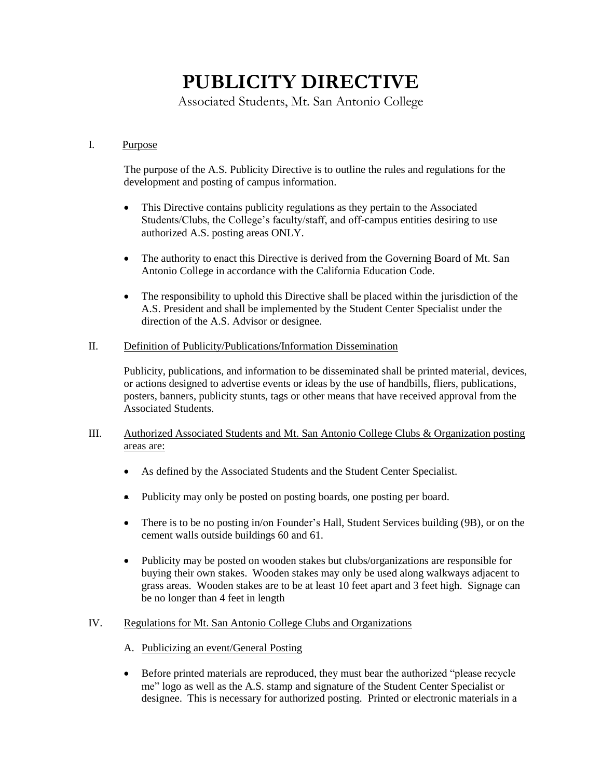# **PUBLICITY DIRECTIVE**

Associated Students, Mt. San Antonio College

#### I. Purpose

 The purpose of the A.S. Publicity Directive is to outline the rules and regulations for the development and posting of campus information.

- This Directive contains publicity regulations as they pertain to the Associated Students/Clubs, the College's faculty/staff, and off-campus entities desiring to use authorized A.S. posting areas ONLY.
- The authority to enact this Directive is derived from the Governing Board of Mt. San Antonio College in accordance with the California Education Code.
- A.S. President and shall be implemented by the Student Center Specialist under the direction of the A.S. Advisor or designee. • The responsibility to uphold this Directive shall be placed within the jurisdiction of the

### II. Definition of Publicity/Publications/Information Dissemination

Publicity, publications, and information to be disseminated shall be printed material, devices, or actions designed to advertise events or ideas by the use of handbills, fliers, publications, posters, banners, publicity stunts, tags or other means that have received approval from the Associated Students.

# III. Authorized Associated Students and Mt. San Antonio College Clubs & Organization posting areas are:

- As defined by the Associated Students and the Student Center Specialist.
- Publicity may only be posted on posting boards, one posting per board.
- There is to be no posting in/on Founder's Hall, Student Services building (9B), or on the cement walls outside buildings 60 and 61.
- be no longer than 4 feet in length Publicity may be posted on wooden stakes but clubs/organizations are responsible for buying their own stakes. Wooden stakes may only be used along walkways adjacent to grass areas. Wooden stakes are to be at least 10 feet apart and 3 feet high. Signage can

### IV. Regulations for Mt. San Antonio College Clubs and Organizations

- A. Publicizing an event/General Posting
- me" logo as well as the A.S. stamp and signature of the Student Center Specialist or Before printed materials are reproduced, they must bear the authorized "please recycle designee. This is necessary for authorized posting. Printed or electronic materials in a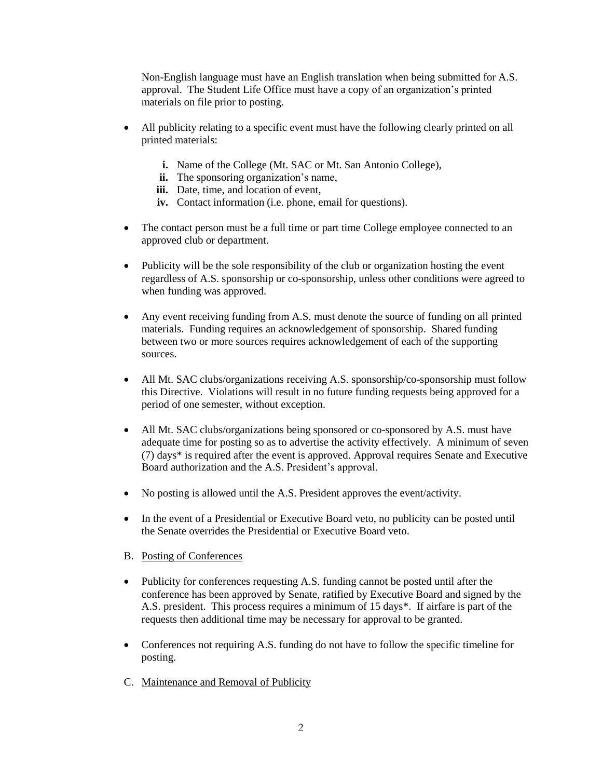approval. The Student Life Office must have a copy of an organization's printed Non-English language must have an English translation when being submitted for A.S. materials on file prior to posting.

- All publicity relating to a specific event must have the following clearly printed on all printed materials:
	- **i.** Name of the College (Mt. SAC or Mt. San Antonio College),
	- **ii.** The sponsoring organization's name,
	- **iii.** Date, time, and location of event,
	- **iv.** Contact information (i.e. phone, email for questions).
- The contact person must be a full time or part time College employee connected to an approved club or department.
- Publicity will be the sole responsibility of the club or organization hosting the event regardless of A.S. sponsorship or co-sponsorship, unless other conditions were agreed to when funding was approved.
- between two or more sources requires acknowledgement of each of the supporting Any event receiving funding from A.S. must denote the source of funding on all printed materials. Funding requires an acknowledgement of sponsorship. Shared funding sources.
- All Mt. SAC clubs/organizations receiving A.S. sponsorship/co-sponsorship must follow this Directive. Violations will result in no future funding requests being approved for a period of one semester, without exception.
- All Mt. SAC clubs/organizations being sponsored or co-sponsored by A.S. must have adequate time for posting so as to advertise the activity effectively. A minimum of seven (7) days\* is required after the event is approved. Approval requires Senate and Executive Board authorization and the A.S. President's approval.
- No posting is allowed until the A.S. President approves the event/activity.
- In the event of a Presidential or Executive Board veto, no publicity can be posted until the Senate overrides the Presidential or Executive Board veto.

### B. Posting of Conferences

- Publicity for conferences requesting A.S. funding cannot be posted until after the conference has been approved by Senate, ratified by Executive Board and signed by the A.S. president. This process requires a minimum of 15 days\*. If airfare is part of the requests then additional time may be necessary for approval to be granted.
- Conferences not requiring A.S. funding do not have to follow the specific timeline for posting.
- C. Maintenance and Removal of Publicity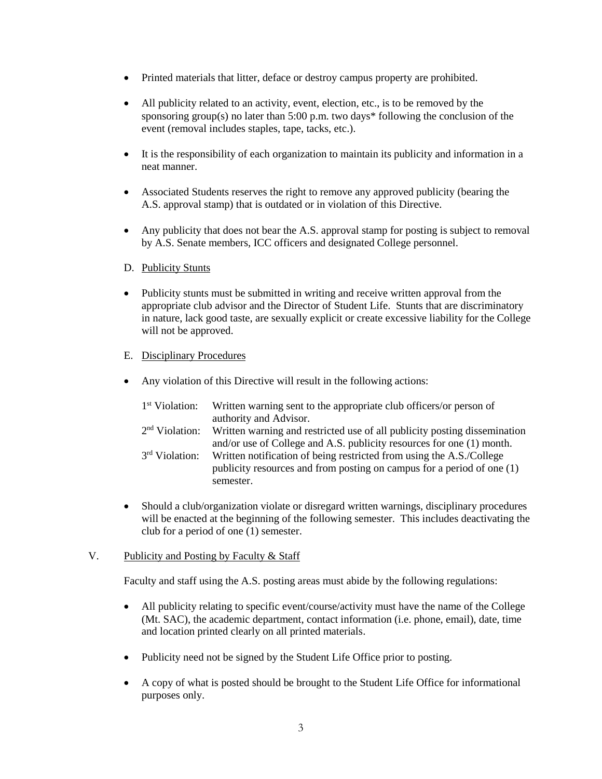- Printed materials that litter, deface or destroy campus property are prohibited.
- All publicity related to an activity, event, election, etc., is to be removed by the sponsoring group(s) no later than 5:00 p.m. two days\* following the conclusion of the event (removal includes staples, tape, tacks, etc.).
- It is the responsibility of each organization to maintain its publicity and information in a neat manner.
- A.S. approval stamp) that is outdated or in violation of this Directive. Associated Students reserves the right to remove any approved publicity (bearing the
- Any publicity that does not bear the A.S. approval stamp for posting is subject to removal by A.S. Senate members, ICC officers and designated College personnel.
- D. Publicity Stunts
- appropriate club advisor and the Director of Student Life. Stunts that are discriminatory in nature, lack good taste, are sexually explicit or create excessive liability for the College will not be approved. Publicity stunts must be submitted in writing and receive written approval from the
- E. Disciplinary Procedures
- Any violation of this Directive will result in the following actions:

| 1 <sup>st</sup> Violation: | Written warning sent to the appropriate club officers/or person of<br>authority and Advisor.                                                                |
|----------------------------|-------------------------------------------------------------------------------------------------------------------------------------------------------------|
| $2nd$ Violation:           | Written warning and restricted use of all publicity posting dissemination                                                                                   |
|                            | and/or use of College and A.S. publicity resources for one (1) month.                                                                                       |
| 3rd Violation:             | Written notification of being restricted from using the A.S./College<br>publicity resources and from posting on campus for a period of one (1)<br>semester. |

 club for a period of one (1) semester. Should a club/organization violate or disregard written warnings, disciplinary procedures will be enacted at the beginning of the following semester. This includes deactivating the

### V. Publicity and Posting by Faculty & Staff

Faculty and staff using the A.S. posting areas must abide by the following regulations:

- (Mt. SAC), the academic department, contact information (i.e. phone, email), date, time All publicity relating to specific event/course/activity must have the name of the College and location printed clearly on all printed materials.
- Publicity need not be signed by the Student Life Office prior to posting.
- A copy of what is posted should be brought to the Student Life Office for informational purposes only.